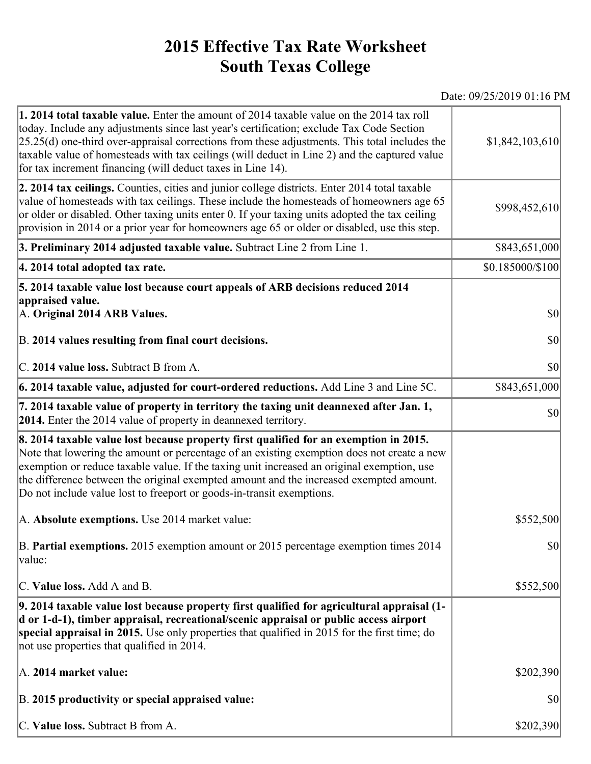## **2015 Effective Tax Rate Worksheet South Texas College**

Date: 09/25/2019 01:16 PM

| <b>1. 2014 total taxable value.</b> Enter the amount of 2014 taxable value on the 2014 tax roll<br>today. Include any adjustments since last year's certification; exclude Tax Code Section<br>$[25.25(d)$ one-third over-appraisal corrections from these adjustments. This total includes the<br>taxable value of homesteads with tax ceilings (will deduct in Line 2) and the captured value<br>for tax increment financing (will deduct taxes in Line 14). | \$1,842,103,610  |
|----------------------------------------------------------------------------------------------------------------------------------------------------------------------------------------------------------------------------------------------------------------------------------------------------------------------------------------------------------------------------------------------------------------------------------------------------------------|------------------|
| 2. 2014 tax ceilings. Counties, cities and junior college districts. Enter 2014 total taxable<br>value of homesteads with tax ceilings. These include the homesteads of homeowners age 65<br>or older or disabled. Other taxing units enter 0. If your taxing units adopted the tax ceiling<br>provision in 2014 or a prior year for homeowners age 65 or older or disabled, use this step.                                                                    | \$998,452,610    |
| 3. Preliminary 2014 adjusted taxable value. Subtract Line 2 from Line 1.                                                                                                                                                                                                                                                                                                                                                                                       | \$843,651,000    |
| 4. 2014 total adopted tax rate.                                                                                                                                                                                                                                                                                                                                                                                                                                | \$0.185000/\$100 |
| 5. 2014 taxable value lost because court appeals of ARB decisions reduced 2014                                                                                                                                                                                                                                                                                                                                                                                 |                  |
| appraised value.<br>A. Original 2014 ARB Values.                                                                                                                                                                                                                                                                                                                                                                                                               | $ 10\rangle$     |
| B. 2014 values resulting from final court decisions.                                                                                                                                                                                                                                                                                                                                                                                                           | $ 10\rangle$     |
| C. 2014 value loss. Subtract B from A.                                                                                                                                                                                                                                                                                                                                                                                                                         | \$0              |
| $\vert$ 6. 2014 taxable value, adjusted for court-ordered reductions. Add Line 3 and Line 5C.                                                                                                                                                                                                                                                                                                                                                                  | \$843,651,000    |
| 7. 2014 taxable value of property in territory the taxing unit deannexed after Jan. 1,<br><b>2014.</b> Enter the 2014 value of property in deannexed territory.                                                                                                                                                                                                                                                                                                | $ 10\rangle$     |
| 8. 2014 taxable value lost because property first qualified for an exemption in 2015.<br>Note that lowering the amount or percentage of an existing exemption does not create a new<br>exemption or reduce taxable value. If the taxing unit increased an original exemption, use<br>the difference between the original exempted amount and the increased exempted amount.<br>Do not include value lost to freeport or goods-in-transit exemptions.           |                  |
| A. Absolute exemptions. Use 2014 market value:                                                                                                                                                                                                                                                                                                                                                                                                                 | \$552,500        |
| B. Partial exemptions. 2015 exemption amount or 2015 percentage exemption times 2014<br>value:                                                                                                                                                                                                                                                                                                                                                                 | $ 10\rangle$     |
| C. Value loss. Add A and B.                                                                                                                                                                                                                                                                                                                                                                                                                                    | \$552,500        |
| 9. 2014 taxable value lost because property first qualified for agricultural appraisal (1-<br>d or 1-d-1), timber appraisal, recreational/scenic appraisal or public access airport<br>special appraisal in 2015. Use only properties that qualified in 2015 for the first time; do<br>not use properties that qualified in 2014.                                                                                                                              |                  |
| A. 2014 market value:                                                                                                                                                                                                                                                                                                                                                                                                                                          | \$202,390        |
| B. 2015 productivity or special appraised value:                                                                                                                                                                                                                                                                                                                                                                                                               | \$0              |
| C. Value loss. Subtract B from A.                                                                                                                                                                                                                                                                                                                                                                                                                              | \$202,390        |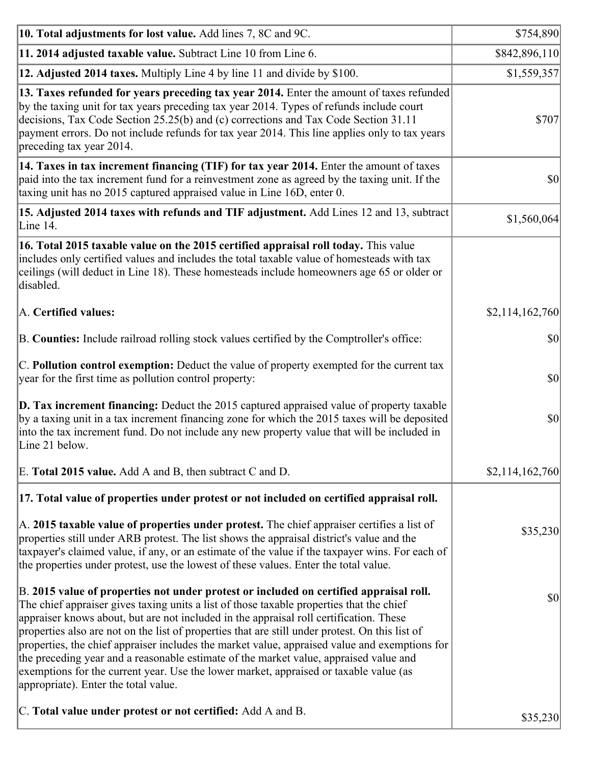| 10. Total adjustments for lost value. Add lines 7, 8C and 9C.                                                                                                                                                                                                                                                                                                                                                                                                                                                                                                                                                                                                                                              | \$754,890       |
|------------------------------------------------------------------------------------------------------------------------------------------------------------------------------------------------------------------------------------------------------------------------------------------------------------------------------------------------------------------------------------------------------------------------------------------------------------------------------------------------------------------------------------------------------------------------------------------------------------------------------------------------------------------------------------------------------------|-----------------|
| 11. 2014 adjusted taxable value. Subtract Line 10 from Line 6.                                                                                                                                                                                                                                                                                                                                                                                                                                                                                                                                                                                                                                             | \$842,896,110   |
| 12. Adjusted 2014 taxes. Multiply Line 4 by line 11 and divide by \$100.                                                                                                                                                                                                                                                                                                                                                                                                                                                                                                                                                                                                                                   | \$1,559,357     |
| 13. Taxes refunded for years preceding tax year 2014. Enter the amount of taxes refunded<br>by the taxing unit for tax years preceding tax year 2014. Types of refunds include court<br>decisions, Tax Code Section 25.25(b) and (c) corrections and Tax Code Section 31.11<br>payment errors. Do not include refunds for tax year 2014. This line applies only to tax years<br>preceding tax year 2014.                                                                                                                                                                                                                                                                                                   | \$707           |
| 14. Taxes in tax increment financing (TIF) for tax year 2014. Enter the amount of taxes<br>paid into the tax increment fund for a reinvestment zone as agreed by the taxing unit. If the<br>taxing unit has no 2015 captured appraised value in Line 16D, enter 0.                                                                                                                                                                                                                                                                                                                                                                                                                                         | \$0             |
| 15. Adjusted 2014 taxes with refunds and TIF adjustment. Add Lines 12 and 13, subtract<br>Line 14.                                                                                                                                                                                                                                                                                                                                                                                                                                                                                                                                                                                                         | \$1,560,064     |
| 16. Total 2015 taxable value on the 2015 certified appraisal roll today. This value<br>includes only certified values and includes the total taxable value of homesteads with tax<br>ceilings (will deduct in Line 18). These homesteads include homeowners age 65 or older or<br>disabled.                                                                                                                                                                                                                                                                                                                                                                                                                |                 |
| A. Certified values:                                                                                                                                                                                                                                                                                                                                                                                                                                                                                                                                                                                                                                                                                       | \$2,114,162,760 |
| B. Counties: Include railroad rolling stock values certified by the Comptroller's office:                                                                                                                                                                                                                                                                                                                                                                                                                                                                                                                                                                                                                  | \$0             |
| C. Pollution control exemption: Deduct the value of property exempted for the current tax<br>year for the first time as pollution control property:                                                                                                                                                                                                                                                                                                                                                                                                                                                                                                                                                        | \$0             |
| <b>D. Tax increment financing:</b> Deduct the 2015 captured appraised value of property taxable<br>by a taxing unit in a tax increment financing zone for which the 2015 taxes will be deposited<br>into the tax increment fund. Do not include any new property value that will be included in<br>Line 21 below.                                                                                                                                                                                                                                                                                                                                                                                          | \$0             |
| E. Total 2015 value. Add A and B, then subtract C and D.                                                                                                                                                                                                                                                                                                                                                                                                                                                                                                                                                                                                                                                   | \$2,114,162,760 |
| 17. Total value of properties under protest or not included on certified appraisal roll.                                                                                                                                                                                                                                                                                                                                                                                                                                                                                                                                                                                                                   |                 |
| A. 2015 taxable value of properties under protest. The chief appraiser certifies a list of<br>properties still under ARB protest. The list shows the appraisal district's value and the<br>taxpayer's claimed value, if any, or an estimate of the value if the taxpayer wins. For each of<br>the properties under protest, use the lowest of these values. Enter the total value.                                                                                                                                                                                                                                                                                                                         | \$35,230        |
| B. 2015 value of properties not under protest or included on certified appraisal roll.<br>The chief appraiser gives taxing units a list of those taxable properties that the chief<br>appraiser knows about, but are not included in the appraisal roll certification. These<br>properties also are not on the list of properties that are still under protest. On this list of<br>properties, the chief appraiser includes the market value, appraised value and exemptions for<br>the preceding year and a reasonable estimate of the market value, appraised value and<br>exemptions for the current year. Use the lower market, appraised or taxable value (as<br>appropriate). Enter the total value. | \$0             |
| C. Total value under protest or not certified: Add A and B.                                                                                                                                                                                                                                                                                                                                                                                                                                                                                                                                                                                                                                                | \$35,230        |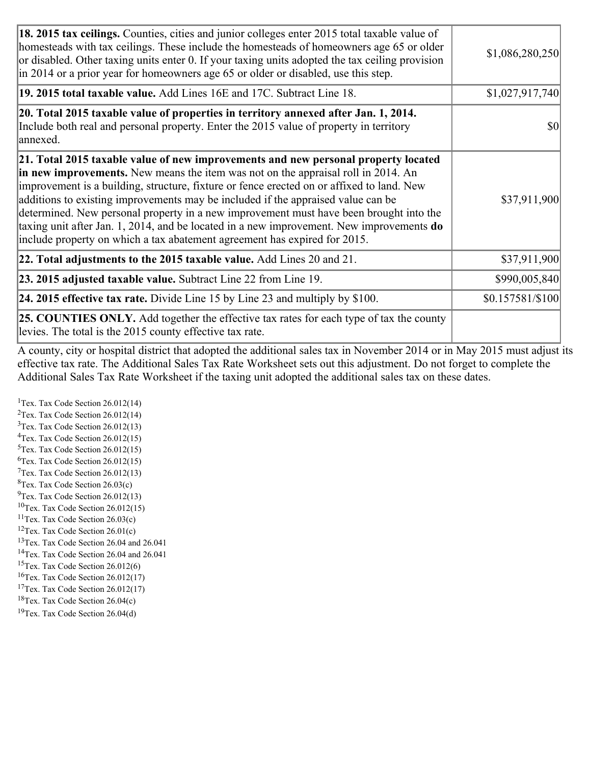| <b>18. 2015 tax ceilings.</b> Counties, cities and junior colleges enter 2015 total taxable value of<br>homesteads with tax ceilings. These include the homesteads of homeowners age 65 or older<br>or disabled. Other taxing units enter 0. If your taxing units adopted the tax ceiling provision<br>in 2014 or a prior year for homeowners age 65 or older or disabled, use this step.                                                                                                                                                                                                                                          | \$1,086,280,250  |
|------------------------------------------------------------------------------------------------------------------------------------------------------------------------------------------------------------------------------------------------------------------------------------------------------------------------------------------------------------------------------------------------------------------------------------------------------------------------------------------------------------------------------------------------------------------------------------------------------------------------------------|------------------|
| 19. 2015 total taxable value. Add Lines 16E and 17C. Subtract Line 18.                                                                                                                                                                                                                                                                                                                                                                                                                                                                                                                                                             | \$1,027,917,740  |
| 20. Total 2015 taxable value of properties in territory annexed after Jan. 1, 2014.<br>Include both real and personal property. Enter the 2015 value of property in territory<br>annexed.                                                                                                                                                                                                                                                                                                                                                                                                                                          | \$0              |
| 21. Total 2015 taxable value of new improvements and new personal property located<br>in new improvements. New means the item was not on the appraisal roll in 2014. An<br>improvement is a building, structure, fixture or fence erected on or affixed to land. New<br>additions to existing improvements may be included if the appraised value can be<br>determined. New personal property in a new improvement must have been brought into the<br>taxing unit after Jan. 1, 2014, and be located in a new improvement. New improvements <b>do</b><br>include property on which a tax abatement agreement has expired for 2015. | \$37,911,900     |
| 22. Total adjustments to the 2015 taxable value. Add Lines 20 and 21.                                                                                                                                                                                                                                                                                                                                                                                                                                                                                                                                                              | \$37,911,900     |
| <b>23. 2015 adjusted taxable value.</b> Subtract Line 22 from Line 19.                                                                                                                                                                                                                                                                                                                                                                                                                                                                                                                                                             | \$990,005,840    |
| <b>24. 2015 effective tax rate.</b> Divide Line 15 by Line 23 and multiply by $$100$ .                                                                                                                                                                                                                                                                                                                                                                                                                                                                                                                                             | \$0.157581/\$100 |
| <b>25. COUNTIES ONLY.</b> Add together the effective tax rates for each type of tax the county<br>levies. The total is the 2015 county effective tax rate.                                                                                                                                                                                                                                                                                                                                                                                                                                                                         |                  |

A county, city or hospital district that adopted the additional sales tax in November 2014 or in May 2015 must adjust its effective tax rate. The Additional Sales Tax Rate Worksheet sets out this adjustment. Do not forget to complete the Additional Sales Tax Rate Worksheet if the taxing unit adopted the additional sales tax on these dates.

<sup>1</sup>Tex. Tax Code Section  $26.012(14)$ <sup>2</sup>Tex. Tax Code Section  $26.012(14)$  $3$ Tex. Tax Code Section 26.012(13)  ${}^{4}$ Tex. Tax Code Section 26.012(15) <sup>5</sup>Tex. Tax Code Section 26.012(15)  ${}^{6}$ Tex. Tax Code Section 26.012(15)  $7$ Tex. Tax Code Section 26.012(13)  ${}^{8}$ Tex. Tax Code Section 26.03(c)  $^{9}$ Tex. Tax Code Section 26.012(13)  $10$ Tex. Tax Code Section 26.012(15) <sup>11</sup>Tex. Tax Code Section  $26.03(c)$ <sup>12</sup>Tex. Tax Code Section  $26.01(c)$ <sup>13</sup>Tex. Tax Code Section 26.04 and 26.041 <sup>14</sup>Tex. Tax Code Section 26.04 and 26.041 <sup>15</sup>Tex. Tax Code Section  $26.012(6)$  $16$ Tex. Tax Code Section 26.012(17) <sup>17</sup>Tex. Tax Code Section 26.012(17) <sup>18</sup>Tex. Tax Code Section  $26.04(c)$  $19$ Tex. Tax Code Section 26.04(d)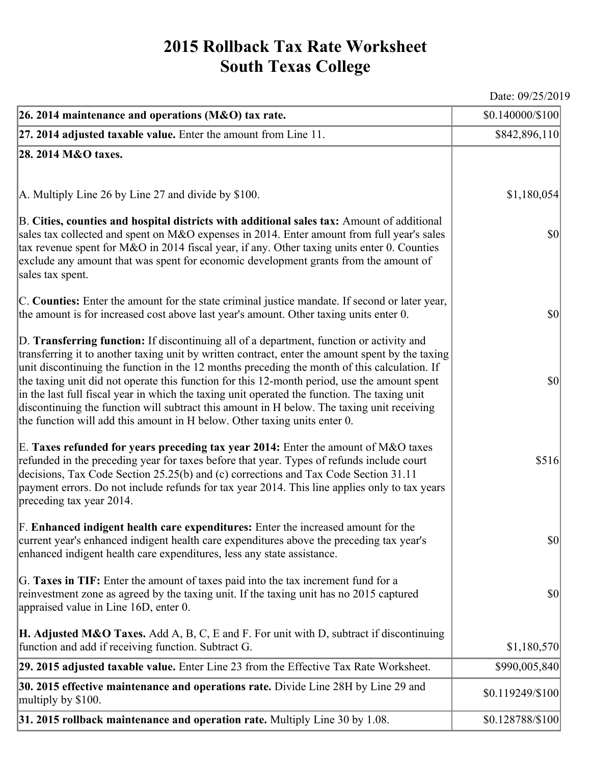## **2015 Rollback Tax Rate Worksheet South Texas College**

Date: 09/25/2019

| 26. 2014 maintenance and operations (M&O) tax rate.                                                                                                                                                                                                                                                                                                                                                                                                                                                                                                                                                                                                                     | \$0.140000/\$100                    |
|-------------------------------------------------------------------------------------------------------------------------------------------------------------------------------------------------------------------------------------------------------------------------------------------------------------------------------------------------------------------------------------------------------------------------------------------------------------------------------------------------------------------------------------------------------------------------------------------------------------------------------------------------------------------------|-------------------------------------|
| $ 27.2014$ adjusted taxable value. Enter the amount from Line 11.                                                                                                                                                                                                                                                                                                                                                                                                                                                                                                                                                                                                       | \$842,896,110                       |
| 28. 2014 M&O taxes.                                                                                                                                                                                                                                                                                                                                                                                                                                                                                                                                                                                                                                                     |                                     |
|                                                                                                                                                                                                                                                                                                                                                                                                                                                                                                                                                                                                                                                                         |                                     |
| $ A$ . Multiply Line 26 by Line 27 and divide by \$100.                                                                                                                                                                                                                                                                                                                                                                                                                                                                                                                                                                                                                 | \$1,180,054                         |
| B. Cities, counties and hospital districts with additional sales tax: Amount of additional<br>sales tax collected and spent on M&O expenses in 2014. Enter amount from full year's sales<br>tax revenue spent for M&O in 2014 fiscal year, if any. Other taxing units enter 0. Counties<br>exclude any amount that was spent for economic development grants from the amount of<br>sales tax spent.                                                                                                                                                                                                                                                                     | $ 10\rangle$                        |
| C. Counties: Enter the amount for the state criminal justice mandate. If second or later year,<br>the amount is for increased cost above last year's amount. Other taxing units enter 0.                                                                                                                                                                                                                                                                                                                                                                                                                                                                                | $ 10\rangle$                        |
| D. Transferring function: If discontinuing all of a department, function or activity and<br>transferring it to another taxing unit by written contract, enter the amount spent by the taxing<br>unit discontinuing the function in the 12 months preceding the month of this calculation. If<br>the taxing unit did not operate this function for this 12-month period, use the amount spent<br>in the last full fiscal year in which the taxing unit operated the function. The taxing unit<br>discontinuing the function will subtract this amount in H below. The taxing unit receiving<br>the function will add this amount in H below. Other taxing units enter 0. | $ 10\rangle$                        |
| E. Taxes refunded for years preceding tax year 2014: Enter the amount of M&O taxes<br>refunded in the preceding year for taxes before that year. Types of refunds include court<br>decisions, Tax Code Section 25.25(b) and (c) corrections and Tax Code Section 31.11<br>payment errors. Do not include refunds for tax year 2014. This line applies only to tax years<br>preceding tax year 2014.                                                                                                                                                                                                                                                                     | \$516                               |
| F. Enhanced indigent health care expenditures: Enter the increased amount for the<br>current year's enhanced indigent health care expenditures above the preceding tax year's<br>enhanced indigent health care expenditures, less any state assistance.                                                                                                                                                                                                                                                                                                                                                                                                                 | $\vert \mathbf{S} \mathbf{O} \vert$ |
| G. Taxes in TIF: Enter the amount of taxes paid into the tax increment fund for a<br>reinvestment zone as agreed by the taxing unit. If the taxing unit has no 2015 captured<br>appraised value in Line 16D, enter 0.                                                                                                                                                                                                                                                                                                                                                                                                                                                   | $ 10\rangle$                        |
| <b>H. Adjusted M&amp;O Taxes.</b> Add A, B, C, E and F. For unit with D, subtract if discontinuing<br>function and add if receiving function. Subtract G.                                                                                                                                                                                                                                                                                                                                                                                                                                                                                                               | \$1,180,570                         |
| 29. 2015 adjusted taxable value. Enter Line 23 from the Effective Tax Rate Worksheet.                                                                                                                                                                                                                                                                                                                                                                                                                                                                                                                                                                                   | \$990,005,840                       |
| <b>30. 2015 effective maintenance and operations rate.</b> Divide Line 28H by Line 29 and<br>multiply by \$100.                                                                                                                                                                                                                                                                                                                                                                                                                                                                                                                                                         | \$0.119249/\$100                    |
| 31. 2015 rollback maintenance and operation rate. Multiply Line 30 by 1.08.                                                                                                                                                                                                                                                                                                                                                                                                                                                                                                                                                                                             | \$0.128788/\$100                    |